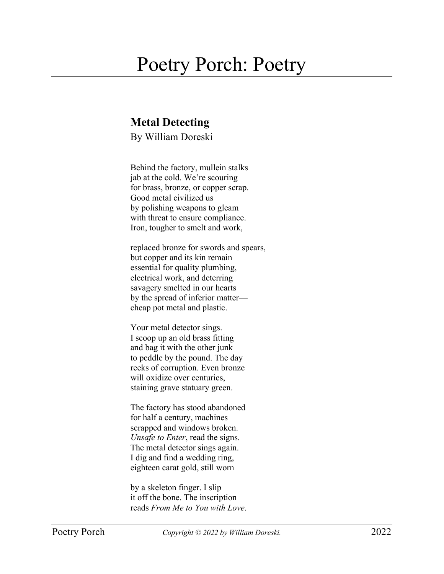## Poetry Porch: Poetry

## **Metal Detecting**

By William Doreski

Behind the factory, mullein stalks jab at the cold. We're scouring for brass, bronze, or copper scrap. Good metal civilized us by polishing weapons to gleam with threat to ensure compliance. Iron, tougher to smelt and work,

replaced bronze for swords and spears, but copper and its kin remain essential for quality plumbing, electrical work, and deterring savagery smelted in our hearts by the spread of inferior matter cheap pot metal and plastic.

Your metal detector sings. I scoop up an old brass fitting and bag it with the other junk to peddle by the pound. The day reeks of corruption. Even bronze will oxidize over centuries, staining grave statuary green.

The factory has stood abandoned for half a century, machines scrapped and windows broken. *Unsafe to Enter*, read the signs. The metal detector sings again. I dig and find a wedding ring, eighteen carat gold, still worn

by a skeleton finger. I slip it off the bone. The inscription reads *From Me to You with Love*.